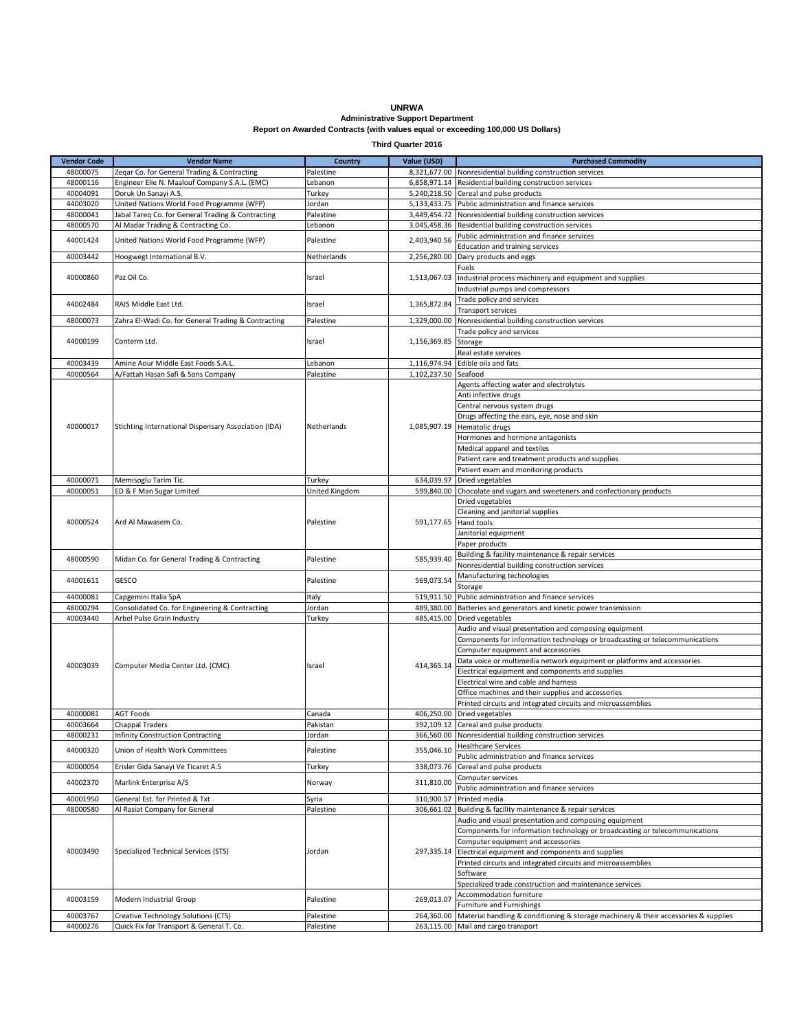## **UNRWA Administrative Support Department Report on Awarded Contracts (with values equal or exceeding 100,000 US Dollars)**

**Third Quarter 2016**

| <b>Vendor Code</b> | <b>Vendor Name</b>                                   | Country            | Value (USD)  | <b>Purchased Commodity</b>                                                                                       |
|--------------------|------------------------------------------------------|--------------------|--------------|------------------------------------------------------------------------------------------------------------------|
| 48000075           | Zeqar Co. for General Trading & Contracting          | Palestine          |              | 8,321,677.00 Nonresidential building construction services                                                       |
| 48000116           | Engineer Elie N. Maalouf Company S.A.L. (EMC)        | Lebanon            |              | 6,858,971.14 Residential building construction services                                                          |
| 40004091           | Doruk Un Sanayi A.S.                                 | Turkey             |              | 5,240,218.50 Cereal and pulse products                                                                           |
| 44003020           | United Nations World Food Programme (WFP)            | Jordan             |              | 5,133,433.75 Public administration and finance services                                                          |
| 48000041           | Jabal Tareq Co. for General Trading & Contracting    | Palestine          |              | 3,449,454.72 Nonresidential building construction services                                                       |
| 48000570           | Al Madar Trading & Contracting Co.                   | Lebanon            |              | 3,045,458.36 Residential building construction services                                                          |
| 44001424           | United Nations World Food Programme (WFP)            | Palestine          | 2,403,940.56 | Public administration and finance services                                                                       |
|                    |                                                      |                    |              | Education and training services                                                                                  |
| 40003442           | Hoogwegt International B.V.                          | Netherlands        | 2,256,280.00 | Dairy products and eggs                                                                                          |
| 40000860           | Paz Oil Co.                                          | Israel             | 1,513,067.03 | Fuels                                                                                                            |
|                    |                                                      |                    |              | Industrial process machinery and equipment and supplies                                                          |
|                    |                                                      |                    |              | Industrial pumps and compressors<br>Trade policy and services                                                    |
| 44002484           | RAIS Middle East Ltd.                                | Israel             | 1,365,872.84 | Transport services                                                                                               |
| 48000073           | Zahra El-Wadi Co. for General Trading & Contracting  | Palestine          | 1,329,000.00 | Nonresidential building construction services                                                                    |
|                    |                                                      |                    |              | Trade policy and services                                                                                        |
| 44000199           | Conterm Ltd.                                         | Israel             | 1,156,369.85 | Storage                                                                                                          |
|                    |                                                      |                    |              | Real estate services                                                                                             |
| 40003439           | Amine Aour Middle East Foods S.A.L.                  | Lebanon            |              | 1,116,974.94 Edible oils and fats                                                                                |
| 40000564           | A/Fattah Hasan Safi & Sons Company                   | Palestine          | 1,102,237.50 | Seafood                                                                                                          |
|                    |                                                      |                    |              | Agents affecting water and electrolytes                                                                          |
|                    |                                                      |                    |              | Anti infective drugs                                                                                             |
|                    |                                                      |                    |              | Central nervous system drugs                                                                                     |
|                    |                                                      |                    |              | Drugs affecting the ears, eye, nose and skin                                                                     |
| 40000017           | Stichting International Dispensary Association (IDA) | Netherlands        | 1,085,907.19 | Hematolic drugs                                                                                                  |
|                    |                                                      |                    |              | Hormones and hormone antagonists                                                                                 |
|                    |                                                      |                    |              | Medical apparel and textiles                                                                                     |
|                    |                                                      |                    |              | Patient care and treatment products and supplies                                                                 |
|                    |                                                      |                    |              | Patient exam and monitoring products                                                                             |
| 40000071           | Memisoglu Tarim Tic.                                 | Turkey             |              | 634,039.97 Dried vegetables                                                                                      |
| 40000051           | ED & F Man Sugar Limited                             | United Kingdom     |              | 599,840.00 Chocolate and sugars and sweeteners and confectionary products                                        |
|                    |                                                      |                    |              | Dried vegetables                                                                                                 |
| 40000524           | Ard Al Mawasem Co.                                   | Palestine          | 591,177.65   | Cleaning and janitorial supplies<br>Hand tools                                                                   |
|                    |                                                      |                    |              | Janitorial equipment                                                                                             |
|                    |                                                      |                    |              | Paper products                                                                                                   |
|                    |                                                      |                    |              | Building & facility maintenance & repair services                                                                |
| 48000590           | Midan Co. for General Trading & Contracting          | Palestine          | 585,939.40   | Nonresidential building construction services                                                                    |
|                    |                                                      |                    |              | Manufacturing technologies                                                                                       |
| 44001611           | GESCO                                                | Palestine          | 569,073.54   | Storage                                                                                                          |
| 44000081           | Capgemini Italia SpA                                 | Italy              |              | 519,911.50 Public administration and finance services                                                            |
| 48000294           | Consolidated Co. for Engineering & Contracting       | Jordan             | 489,380.00   | Batteries and generators and kinetic power transmission                                                          |
| 40003440           | Arbel Pulse Grain Industry                           | Turkey             | 485,415.00   | <b>Dried vegetables</b>                                                                                          |
|                    |                                                      |                    |              | Audio and visual presentation and composing equipment                                                            |
|                    |                                                      |                    |              | Components for information technology or broadcasting or telecommunications                                      |
|                    | Computer Media Center Ltd. (CMC)                     | Israel             | 414,365.14   | Computer equipment and accessories                                                                               |
| 40003039           |                                                      |                    |              | Data voice or multimedia network equipment or platforms and accessories                                          |
|                    |                                                      |                    |              | Electrical equipment and components and supplies                                                                 |
|                    |                                                      |                    |              | Electrical wire and cable and harness                                                                            |
|                    |                                                      |                    |              | Office machines and their supplies and accessories                                                               |
| 40000081           | <b>AGT Foods</b>                                     |                    |              | Printed circuits and integrated circuits and microassemblies                                                     |
| 40003664           | Chappal Traders                                      | Canada<br>Pakistan |              | 406,250.00 Dried vegetables<br>392,109.12 Cereal and pulse products                                              |
| 48000231           | <b>Infinity Construction Contracting</b>             | Jordan             |              | 366,560.00 Nonresidential building construction services                                                         |
|                    |                                                      |                    |              | <b>Healthcare Services</b>                                                                                       |
| 44000320           | Union of Health Work Committees                      | Palestine          | 355,046.10   | Public administration and finance services                                                                       |
| 40000054           | Erisler Gida Sanayi Ve Ticaret A.S                   | Turkey             | 338,073.76   | Cereal and pulse products                                                                                        |
|                    |                                                      |                    |              | Computer services                                                                                                |
| 44002370           | Marlink Enterprise A/S                               | Norway             | 311,810.00   | Public administration and finance services                                                                       |
| 40001950           | General Est. for Printed & Txt                       | Syria              | 310,900.57   | Printed media                                                                                                    |
| 48000580           | Al Rasiat Company for General                        | Palestine          | 306,661.02   | Building & facility maintenance & repair services                                                                |
|                    | Specialized Technical Services (STS)                 | Jordan             | 297,335.14   | Audio and visual presentation and composing equipment                                                            |
| 40003490           |                                                      |                    |              | Components for information technology or broadcasting or telecommunications                                      |
|                    |                                                      |                    |              | Computer equipment and accessories                                                                               |
|                    |                                                      |                    |              | Electrical equipment and components and supplies                                                                 |
|                    |                                                      |                    |              | Printed circuits and integrated circuits and microassemblies                                                     |
|                    |                                                      |                    |              | Software                                                                                                         |
|                    |                                                      |                    |              | Specialized trade construction and maintenance services                                                          |
| 40003159           | Modern Industrial Group                              | Palestine          | 269,013.07   | Accommodation furniture                                                                                          |
| 40003767           | Creative Technology Solutions (CTS)                  | Palestine          | 264,360.00   | Furniture and Furnishings<br>Material handling & conditioning & storage machinery & their accessories & supplies |
| 44000276           | Quick Fix for Transport & General T. Co.             | Palestine          |              | 263,115.00 Mail and cargo transport                                                                              |
|                    |                                                      |                    |              |                                                                                                                  |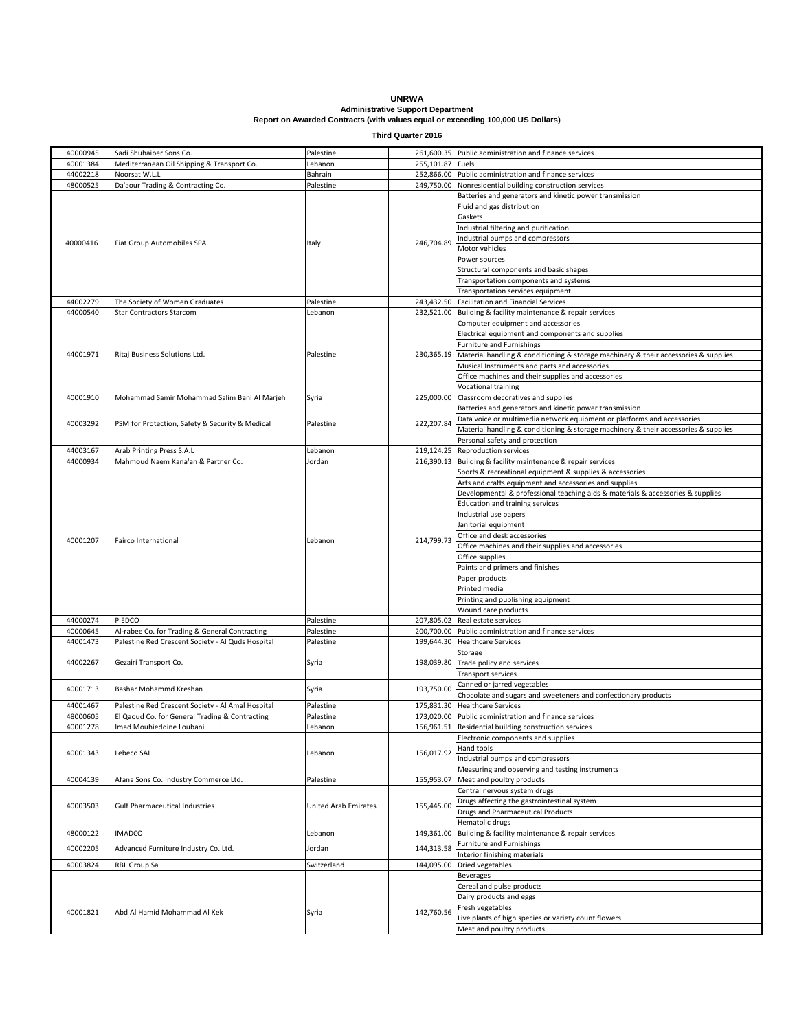**UNRWA Administrative Support Department Report on Awarded Contracts (with values equal or exceeding 100,000 US Dollars)**

**Third Quarter 2016**

| 40000945 | Sadi Shuhaiber Sons Co.                           | Palestine            |            | 261,600.35 Public administration and finance services                               |
|----------|---------------------------------------------------|----------------------|------------|-------------------------------------------------------------------------------------|
| 40001384 | Mediterranean Oil Shipping & Transport Co.        | Lebanon              | 255.101.87 | Fuels                                                                               |
| 44002218 | Noorsat W.L.L                                     | Bahrain              | 252,866.00 | Public administration and finance services                                          |
| 48000525 | Da'aour Trading & Contracting Co.                 | Palestine            | 249,750.00 | Nonresidential building construction services                                       |
|          |                                                   |                      |            | Batteries and generators and kinetic power transmission                             |
|          |                                                   |                      |            |                                                                                     |
|          |                                                   |                      | 246,704.89 | Fluid and gas distribution                                                          |
|          |                                                   |                      |            | Gaskets                                                                             |
|          |                                                   |                      |            | Industrial filtering and purification                                               |
|          | Fiat Group Automobiles SPA                        | Italy                |            | Industrial pumps and compressors                                                    |
| 40000416 |                                                   |                      |            | Motor vehicles                                                                      |
|          |                                                   |                      |            | Power sources                                                                       |
|          |                                                   |                      |            |                                                                                     |
|          |                                                   |                      |            | Structural components and basic shapes                                              |
|          |                                                   |                      |            | Transportation components and systems                                               |
|          |                                                   |                      |            | Transportation services equipment                                                   |
| 44002279 | The Society of Women Graduates                    | Palestine            | 243,432.50 | Facilitation and Financial Services                                                 |
| 44000540 | Star Contractors Starcom                          | Lebanon              |            | 232,521.00 Building & facility maintenance & repair services                        |
|          |                                                   |                      |            | Computer equipment and accessories                                                  |
|          |                                                   |                      |            | Electrical equipment and components and supplies                                    |
|          |                                                   |                      |            |                                                                                     |
|          |                                                   |                      |            | Furniture and Furnishings                                                           |
| 44001971 | Ritaj Business Solutions Ltd.                     | Palestine            | 230,365.19 | Material handling & conditioning & storage machinery & their accessories & supplies |
|          |                                                   |                      |            | Musical Instruments and parts and accessories                                       |
|          |                                                   |                      |            | Office machines and their supplies and accessories                                  |
|          |                                                   |                      |            | Vocational training                                                                 |
| 40001910 | Mohammad Samir Mohammad Salim Bani Al Marjeh      | Syria                | 225,000.00 | Classroom decoratives and supplies                                                  |
|          |                                                   |                      |            | Batteries and generators and kinetic power transmission                             |
|          |                                                   |                      |            |                                                                                     |
| 40003292 | PSM for Protection, Safety & Security & Medical   | Palestine            | 222,207.84 | Data voice or multimedia network equipment or platforms and accessories             |
|          |                                                   |                      |            | Material handling & conditioning & storage machinery & their accessories & supplies |
|          |                                                   |                      |            | Personal safety and protection                                                      |
| 44003167 | Arab Printing Press S.A.L                         | Lebanon              |            | 219,124.25 Reproduction services                                                    |
| 44000934 | Mahmoud Naem Kana'an & Partner Co.                | Jordan               |            | 216,390.13 Building & facility maintenance & repair services                        |
|          |                                                   |                      |            | Sports & recreational equipment & supplies & accessories                            |
|          |                                                   |                      |            |                                                                                     |
|          |                                                   |                      |            | Arts and crafts equipment and accessories and supplies                              |
|          |                                                   |                      |            | Developmental & professional teaching aids & materials & accessories & supplies     |
|          |                                                   |                      |            | <b>Education and training services</b>                                              |
|          |                                                   |                      |            | Industrial use papers                                                               |
|          |                                                   |                      |            | Janitorial equipment                                                                |
|          | Fairco International                              |                      | 214,799.73 | Office and desk accessories                                                         |
| 40001207 |                                                   | Lebanon              |            | Office machines and their supplies and accessories                                  |
|          |                                                   |                      |            |                                                                                     |
|          |                                                   |                      |            | Office supplies                                                                     |
|          |                                                   |                      |            | Paints and primers and finishes                                                     |
|          |                                                   |                      |            | Paper products                                                                      |
|          |                                                   |                      |            | Printed media                                                                       |
|          |                                                   |                      |            | Printing and publishing equipment                                                   |
|          |                                                   |                      |            | Wound care products                                                                 |
| 44000274 | PIEDCO                                            |                      |            |                                                                                     |
|          |                                                   | Palestine            | 207,805.02 | Real estate services                                                                |
| 40000645 | Al-rabee Co. for Trading & General Contracting    | Palestine            | 200,700.00 | Public administration and finance services                                          |
| 44001473 | Palestine Red Crescent Society - Al Quds Hospital | Palestine            |            | 199,644.30 Healthcare Services                                                      |
|          |                                                   | Syria                | 198,039.80 | Storage                                                                             |
| 44002267 | Gezairi Transport Co.                             |                      |            | Trade policy and services                                                           |
|          |                                                   |                      |            | Transport services                                                                  |
|          |                                                   |                      |            | Canned or jarred vegetables                                                         |
| 40001713 | Bashar Mohammd Kreshan                            | Syria                | 193,750.00 |                                                                                     |
|          |                                                   |                      |            | Chocolate and sugars and sweeteners and confectionary products                      |
| 44001467 | Palestine Red Crescent Society - Al Amal Hospital | Palestine            | 175,831.30 | <b>Healthcare Services</b>                                                          |
| 48000605 | El Qaoud Co. for General Trading & Contracting    | Palestine            |            | 173,020.00 Public administration and finance services                               |
| 40001278 | Imad Mouhieddine Loubani                          | Lebanon              |            | 156,961.51 Residential building construction services                               |
|          |                                                   |                      |            | Electronic components and supplies                                                  |
|          |                                                   |                      |            | Hand tools                                                                          |
| 40001343 | Lebeco SAL                                        | Lebanon              | 156,017.92 | Industrial pumps and compressors                                                    |
|          |                                                   |                      |            |                                                                                     |
|          |                                                   |                      |            | Measuring and observing and testing instruments                                     |
| 40004139 | Afana Sons Co. Industry Commerce Ltd.             | Palestine            | 155,953.07 | Meat and poultry products                                                           |
|          |                                                   |                      |            | Central nervous system drugs                                                        |
| 40003503 | <b>Gulf Pharmaceutical Industries</b>             | United Arab Emirates | 155,445.00 | Drugs affecting the gastrointestinal system                                         |
|          |                                                   |                      |            | <b>Drugs and Pharmaceutical Products</b>                                            |
|          |                                                   |                      |            | Hematolic drugs                                                                     |
| 48000122 | <b>IMADCO</b>                                     | Lebanon              | 149,361.00 | Building & facility maintenance & repair services                                   |
|          |                                                   |                      |            |                                                                                     |
| 40002205 | Advanced Furniture Industry Co. Ltd.              | Jordan               | 144,313.58 | Furniture and Furnishings                                                           |
|          |                                                   |                      |            | Interior finishing materials                                                        |
| 40003824 | RBL Group Sa                                      | Switzerland          | 144,095.00 | Dried vegetables                                                                    |
|          |                                                   |                      |            | <b>Beverages</b>                                                                    |
|          | Abd Al Hamid Mohammad Al Kek                      | Syria                | 142,760.56 | Cereal and pulse products                                                           |
| 40001821 |                                                   |                      |            | Dairy products and eggs                                                             |
|          |                                                   |                      |            | Fresh vegetables                                                                    |
|          |                                                   |                      |            | Live plants of high species or variety count flowers                                |
|          |                                                   |                      |            |                                                                                     |
|          |                                                   |                      |            | Meat and poultry products                                                           |